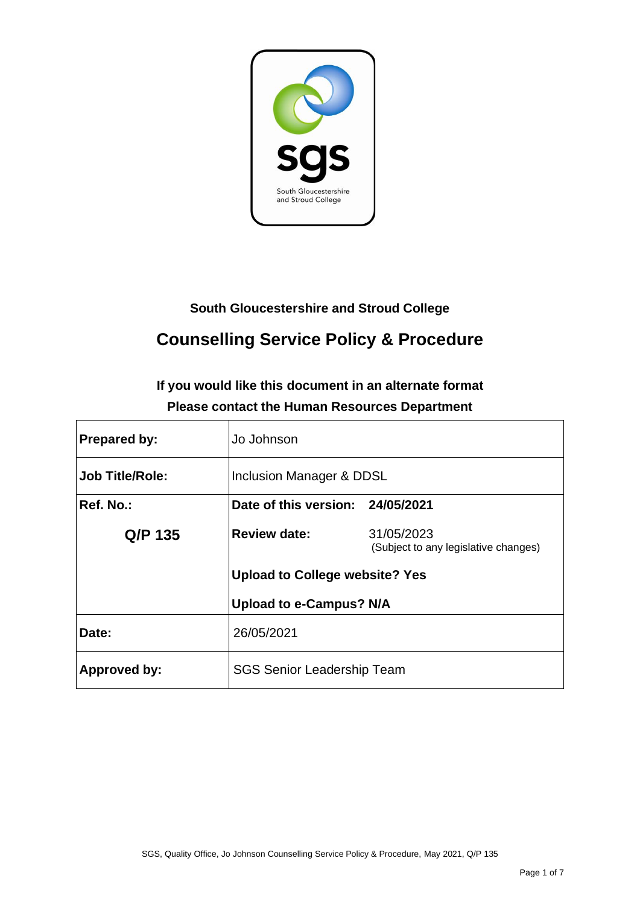

# **South Gloucestershire and Stroud College**

# **Counselling Service Policy & Procedure**

# **If you would like this document in an alternate format Please contact the Human Resources Department**

| <b>Prepared by:</b>    | Jo Johnson                            |                                                    |  |
|------------------------|---------------------------------------|----------------------------------------------------|--|
| <b>Job Title/Role:</b> | Inclusion Manager & DDSL              |                                                    |  |
| Ref. No.:              | Date of this version: 24/05/2021      |                                                    |  |
| Q/P 135                | <b>Review date:</b>                   | 31/05/2023<br>(Subject to any legislative changes) |  |
|                        | <b>Upload to College website? Yes</b> |                                                    |  |
|                        | <b>Upload to e-Campus? N/A</b>        |                                                    |  |
| Date:                  | 26/05/2021                            |                                                    |  |
| <b>Approved by:</b>    | <b>SGS Senior Leadership Team</b>     |                                                    |  |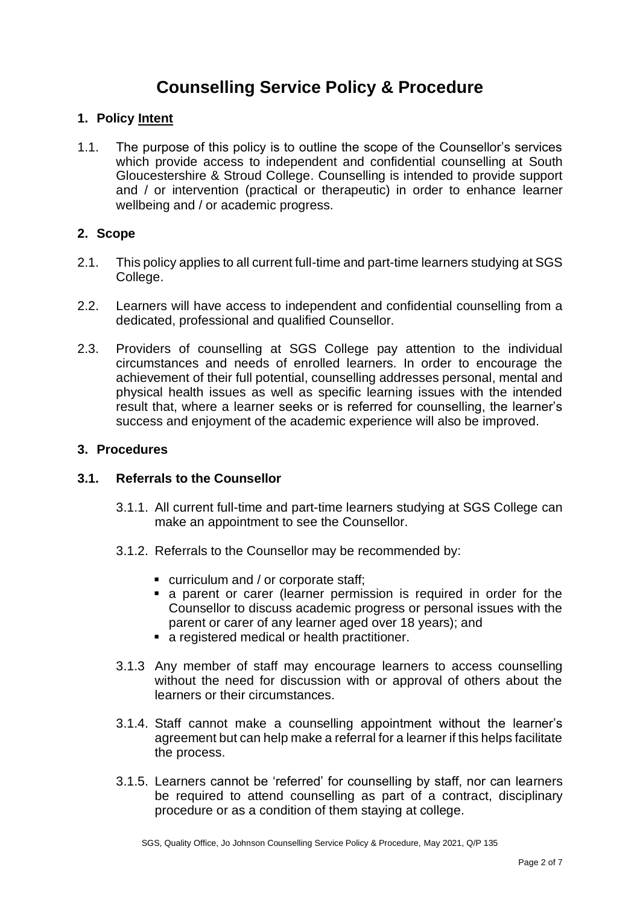# **Counselling Service Policy & Procedure**

# **1. Policy Intent**

1.1. The purpose of this policy is to outline the scope of the Counsellor's services which provide access to independent and confidential counselling at South Gloucestershire & Stroud College. Counselling is intended to provide support and / or intervention (practical or therapeutic) in order to enhance learner wellbeing and / or academic progress.

# **2. Scope**

- 2.1. This policy applies to all current full-time and part-time learners studying at SGS College.
- 2.2. Learners will have access to independent and confidential counselling from a dedicated, professional and qualified Counsellor.
- 2.3. Providers of counselling at SGS College pay attention to the individual circumstances and needs of enrolled learners. In order to encourage the achievement of their full potential, counselling addresses personal, mental and physical health issues as well as specific learning issues with the intended result that, where a learner seeks or is referred for counselling, the learner's success and enjoyment of the academic experience will also be improved.

### **3. Procedures**

#### **3.1. Referrals to the Counsellor**

- 3.1.1. All current full-time and part-time learners studying at SGS College can make an appointment to see the Counsellor.
- 3.1.2. Referrals to the Counsellor may be recommended by:
	- curriculum and / or corporate staff;
	- **Exercise 1** a parent or carer (learner permission is required in order for the Counsellor to discuss academic progress or personal issues with the parent or carer of any learner aged over 18 years); and
	- a registered medical or health practitioner.
- 3.1.3 Any member of staff may encourage learners to access counselling without the need for discussion with or approval of others about the learners or their circumstances.
- 3.1.4. Staff cannot make a counselling appointment without the learner's agreement but can help make a referral for a learner if this helps facilitate the process.
- 3.1.5. Learners cannot be 'referred' for counselling by staff, nor can learners be required to attend counselling as part of a contract, disciplinary procedure or as a condition of them staying at college.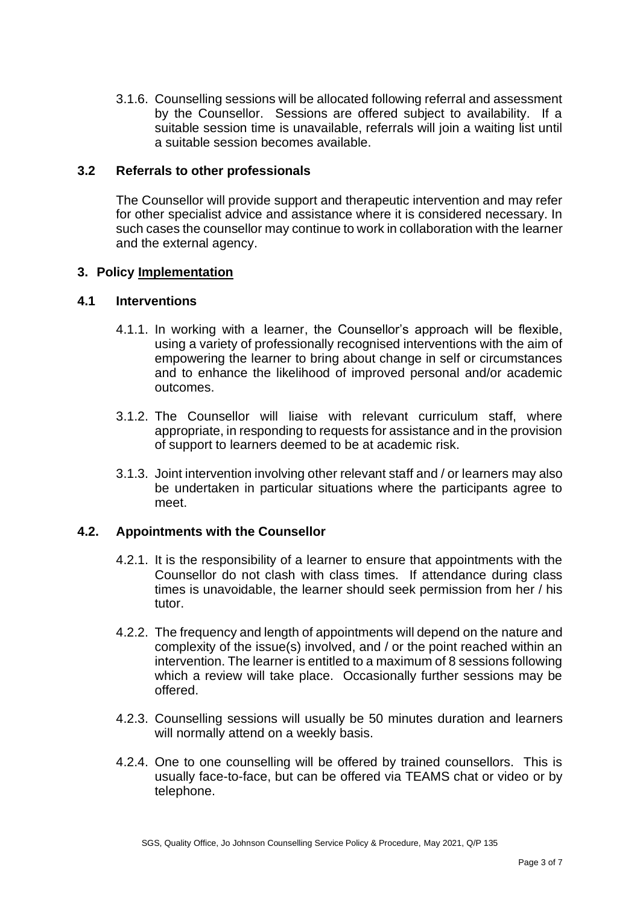3.1.6. Counselling sessions will be allocated following referral and assessment by the Counsellor. Sessions are offered subject to availability. If a suitable session time is unavailable, referrals will join a waiting list until a suitable session becomes available.

#### **3.2 Referrals to other professionals**

The Counsellor will provide support and therapeutic intervention and may refer for other specialist advice and assistance where it is considered necessary. In such cases the counsellor may continue to work in collaboration with the learner and the external agency.

# **3. Policy Implementation**

## **4.1 Interventions**

- 4.1.1. In working with a learner, the Counsellor's approach will be flexible, using a variety of professionally recognised interventions with the aim of empowering the learner to bring about change in self or circumstances and to enhance the likelihood of improved personal and/or academic outcomes.
- 3.1.2. The Counsellor will liaise with relevant curriculum staff, where appropriate, in responding to requests for assistance and in the provision of support to learners deemed to be at academic risk.
- 3.1.3. Joint intervention involving other relevant staff and / or learners may also be undertaken in particular situations where the participants agree to meet.

# **4.2. Appointments with the Counsellor**

- 4.2.1. It is the responsibility of a learner to ensure that appointments with the Counsellor do not clash with class times. If attendance during class times is unavoidable, the learner should seek permission from her / his tutor.
- 4.2.2. The frequency and length of appointments will depend on the nature and complexity of the issue(s) involved, and / or the point reached within an intervention. The learner is entitled to a maximum of 8 sessions following which a review will take place. Occasionally further sessions may be offered.
- 4.2.3. Counselling sessions will usually be 50 minutes duration and learners will normally attend on a weekly basis.
- 4.2.4. One to one counselling will be offered by trained counsellors. This is usually face-to-face, but can be offered via TEAMS chat or video or by telephone.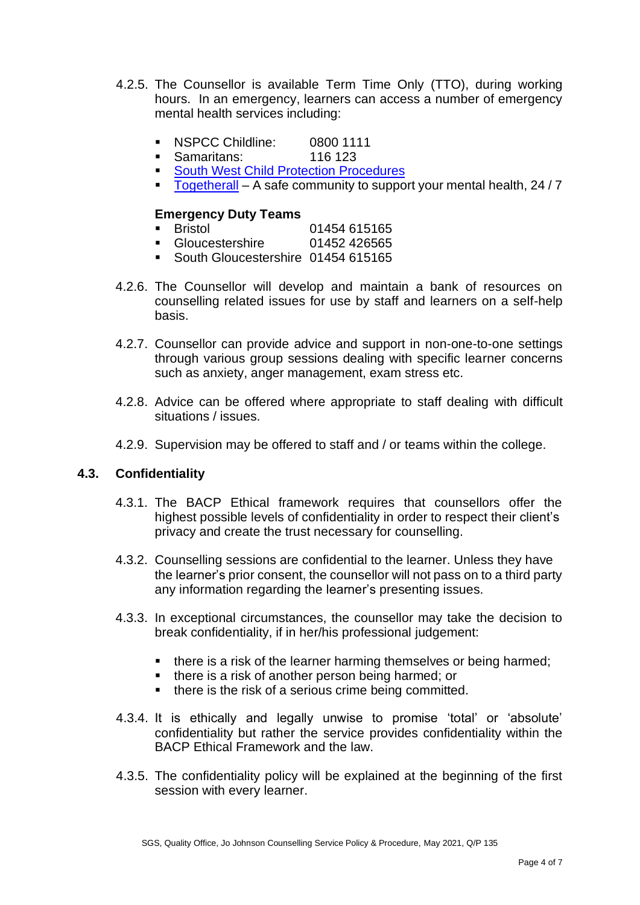- 4.2.5. The Counsellor is available Term Time Only (TTO), during working hours. In an emergency, learners can access a number of emergency mental health services including:
	- NSPCC Childline: 0800 1111
	- Samaritans: 116 123
	- [South West Child Protection Procedures](https://www.proceduresonline.com/swcpp/)
	- [Togetherall](https://togetherall.com/en-gb/) A safe community to support your mental health, 24/7

#### **Emergency Duty Teams**

- Bristol 01454 615165
- Gloucestershire 01452 426565
- **South Gloucestershire 01454 615165**
- 4.2.6. The Counsellor will develop and maintain a bank of resources on counselling related issues for use by staff and learners on a self-help basis.
- 4.2.7. Counsellor can provide advice and support in non-one-to-one settings through various group sessions dealing with specific learner concerns such as anxiety, anger management, exam stress etc.
- 4.2.8. Advice can be offered where appropriate to staff dealing with difficult situations / issues.
- 4.2.9. Supervision may be offered to staff and / or teams within the college.

# **4.3. Confidentiality**

- 4.3.1. The BACP Ethical framework requires that counsellors offer the highest possible levels of confidentiality in order to respect their client's privacy and create the trust necessary for counselling.
- 4.3.2. Counselling sessions are confidential to the learner. Unless they have the learner's prior consent, the counsellor will not pass on to a third party any information regarding the learner's presenting issues.
- 4.3.3. In exceptional circumstances, the counsellor may take the decision to break confidentiality, if in her/his professional judgement:
	- there is a risk of the learner harming themselves or being harmed;
	- there is a risk of another person being harmed; or
	- there is the risk of a serious crime being committed.
- 4.3.4. It is ethically and legally unwise to promise 'total' or 'absolute' confidentiality but rather the service provides confidentiality within the BACP Ethical Framework and the law.
- 4.3.5. The confidentiality policy will be explained at the beginning of the first session with every learner.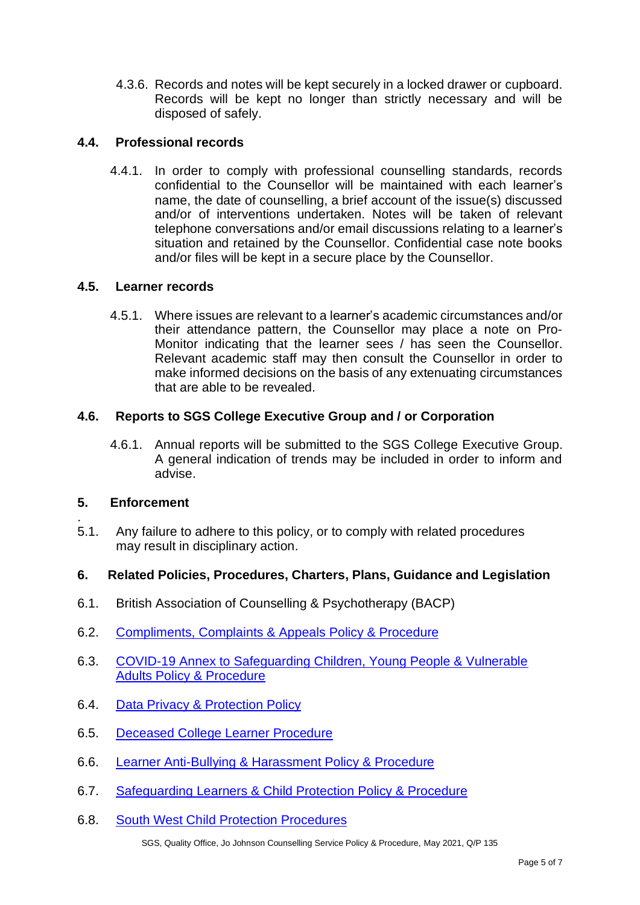4.3.6. Records and notes will be kept securely in a locked drawer or cupboard. Records will be kept no longer than strictly necessary and will be disposed of safely.

# **4.4. Professional records**

4.4.1. In order to comply with professional counselling standards, records confidential to the Counsellor will be maintained with each learner's name, the date of counselling, a brief account of the issue(s) discussed and/or of interventions undertaken. Notes will be taken of relevant telephone conversations and/or email discussions relating to a learner's situation and retained by the Counsellor. Confidential case note books and/or files will be kept in a secure place by the Counsellor.

### **4.5. Learner records**

4.5.1. Where issues are relevant to a learner's academic circumstances and/or their attendance pattern, the Counsellor may place a note on Pro-Monitor indicating that the learner sees / has seen the Counsellor. Relevant academic staff may then consult the Counsellor in order to make informed decisions on the basis of any extenuating circumstances that are able to be revealed.

### **4.6. Reports to SGS College Executive Group and / or Corporation**

4.6.1. Annual reports will be submitted to the SGS College Executive Group. A general indication of trends may be included in order to inform and advise.

## **5. Enforcement**

.

5.1. Any failure to adhere to this policy, or to comply with related procedures may result in disciplinary action.

#### **6. Related Policies, Procedures, Charters, Plans, Guidance and Legislation**

- 6.1. British Association of Counselling & Psychotherapy (BACP)
- 6.2. [Compliments, Complaints & Appeals Policy & Procedure](https://sgscol.sharepoint.com/:w:/s/staff/DataHub/EcRRd8KpMQ5OpOq2uo13iZQBQqAL6cq6lqJxxWwgHGb0sA?e=7pcZxq)
- 6.3. [COVID-19 Annex to Safeguarding Children, Young People & Vulnerable](https://sgscol.sharepoint.com/:w:/s/staff/DataHub/EYzK3QIg8OtJkBhocd_rKRQBJ1N7w65tk82ZNLITbIEbng?e=m98FqP)  [Adults Policy & Procedure](https://sgscol.sharepoint.com/:w:/s/staff/DataHub/EYzK3QIg8OtJkBhocd_rKRQBJ1N7w65tk82ZNLITbIEbng?e=m98FqP)
- 6.4. [Data Privacy & Protection Policy](https://sgscol.sharepoint.com/:w:/s/staff/DataHub/ESDq2neS8IVMpV3cFr14tm4BA9_ZjOuFcIItKCy2tgYP8w?e=1MeO70)
- 6.5. [Deceased College Learner Procedure](https://sgscol.sharepoint.com/:w:/s/staff/DataHub/EatTm4Qn-1dMonYYrGay9tsBjpCwaoTN6Ys0WjHCQWu_VA?e=rGidg7)
- 6.6. [Learner Anti-Bullying & Harassment Policy & Procedure](https://sgscol.sharepoint.com/:w:/s/staff/DataHub/EX-iUalBRmlJsrkcUNd6-7QBptXsiNIJob4Nh9x5JrCmyg?e=xAuWLN)
- 6.7. [Safeguarding Learners & Child Protection](https://sgscol.sharepoint.com/:w:/s/staff/DataHub/Ef8s_WHEamBAhJv0U0ZYNwIBbsttvjjc5fkFzYdY4qDikQ?e=f4i23Z) Policy & Procedure
- 6.8. [South West Child Protection Procedures](https://www.proceduresonline.com/swcpp/)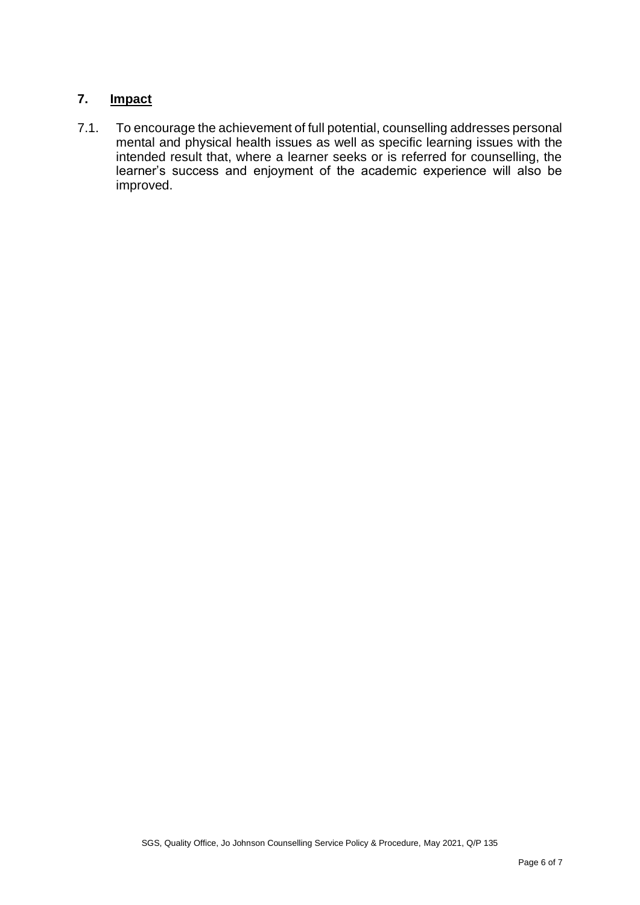# **7. Impact**

7.1. To encourage the achievement of full potential, counselling addresses personal mental and physical health issues as well as specific learning issues with the intended result that, where a learner seeks or is referred for counselling, the learner's success and enjoyment of the academic experience will also be improved.